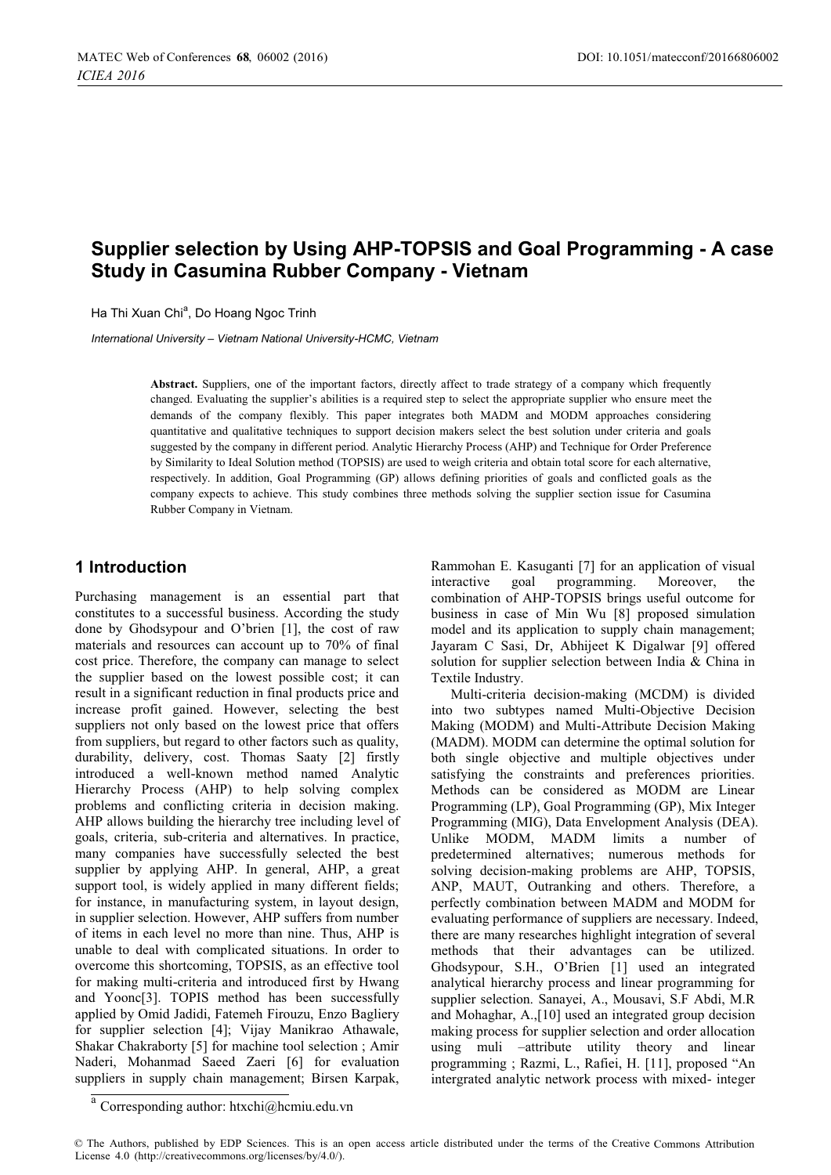# **Supplier selection by Using AHP-TOPSIS and Goal Programming - A case Study in Casumina Rubber Company - Vietnam**

Ha Thi Xuan Chi", Do Hoang Ngoc Trinh

*International University – Vietnam National University-HCMC, Vietnam* 

Abstract. Suppliers, one of the important factors, directly affect to trade strategy of a company which frequently changed. Evaluating the supplier's abilities is a required step to select the appropriate supplier who ensure meet the demands of the company flexibly. This paper integrates both MADM and MODM approaches considering quantitative and qualitative techniques to support decision makers select the best solution under criteria and goals suggested by the company in different period. Analytic Hierarchy Process (AHP) and Technique for Order Preference by Similarity to Ideal Solution method (TOPSIS) are used to weigh criteria and obtain total score for each alternative, respectively. In addition, Goal Programming (GP) allows defining priorities of goals and conflicted goals as the company expects to achieve. This study combines three methods solving the supplier section issue for Casumina Rubber Company in Vietnam.

## **1 Introduction**

Purchasing management is an essential part that constitutes to a successful business. According the study done by Ghodsypour and O'brien [1], the cost of raw materials and resources can account up to 70% of final cost price. Therefore, the company can manage to select the supplier based on the lowest possible cost; it can result in a significant reduction in final products price and increase profit gained. However, selecting the best suppliers not only based on the lowest price that offers from suppliers, but regard to other factors such as quality, durability, delivery, cost. Thomas Saaty [2] firstly introduced a well-known method named Analytic Hierarchy Process (AHP) to help solving complex problems and conflicting criteria in decision making. AHP allows building the hierarchy tree including level of goals, criteria, sub-criteria and alternatives. In practice, many companies have successfully selected the best supplier by applying AHP. In general, AHP, a great support tool, is widely applied in many different fields; for instance, in manufacturing system, in layout design, in supplier selection. However, AHP suffers from number of items in each level no more than nine. Thus, AHP is unable to deal with complicated situations. In order to overcome this shortcoming, TOPSIS, as an effective tool for making multi-criteria and introduced first by Hwang and Yoonc[3]. TOPIS method has been successfully applied by Omid Jadidi, Fatemeh Firouzu, Enzo Bagliery for supplier selection [4]; Vijay Manikrao Athawale, Shakar Chakraborty [5] for machine tool selection ; Amir Naderi, Mohanmad Saeed Zaeri [6] for evaluation suppliers in supply chain management; Birsen Karpak,

Rammohan E. Kasuganti [7] for an application of visual interactive goal programming. Moreover, the combination of AHP-TOPSIS brings useful outcome for business in case of Min Wu [8] proposed simulation model and its application to supply chain management; Jayaram C Sasi, Dr, Abhijeet K Digalwar [9] offered solution for supplier selection between India & China in Textile Industry.

Multi-criteria decision-making (MCDM) is divided into two subtypes named Multi-Objective Decision Making (MODM) and Multi-Attribute Decision Making (MADM). MODM can determine the optimal solution for both single objective and multiple objectives under satisfying the constraints and preferences priorities. Methods can be considered as MODM are Linear Programming (LP), Goal Programming (GP), Mix Integer Programming (MIG), Data Envelopment Analysis (DEA). Unlike MODM, MADM limits a number of predetermined alternatives; numerous methods for solving decision-making problems are AHP, TOPSIS, ANP, MAUT, Outranking and others. Therefore, a perfectly combination between MADM and MODM for evaluating performance of suppliers are necessary. Indeed, there are many researches highlight integration of several methods that their advantages can be utilized. Ghodsypour, S.H., O'Brien [1] used an integrated analytical hierarchy process and linear programming for supplier selection. Sanayei, A., Mousavi, S.F Abdi, M.R and Mohaghar, A.,[10] used an integrated group decision making process for supplier selection and order allocation using muli –attribute utility theory and linear programming ; Razmi, L., Rafiei, H. [11], proposed "An intergrated analytic network process with mixed- integer

<sup>a</sup> Corresponding author: [htxchi@hcmiu.edu.vn](mailto:htxchi@hcmiu.edu.vn)

<sup>©</sup> The Authors, published by EDP Sciences. This is an open access article distributed under the terms of the Creative Commons Attribution License 4.0 [\(http://creativecommons.org/licenses/by/4.0/\).](http://creativecommons.org/licenses/by/4.0/)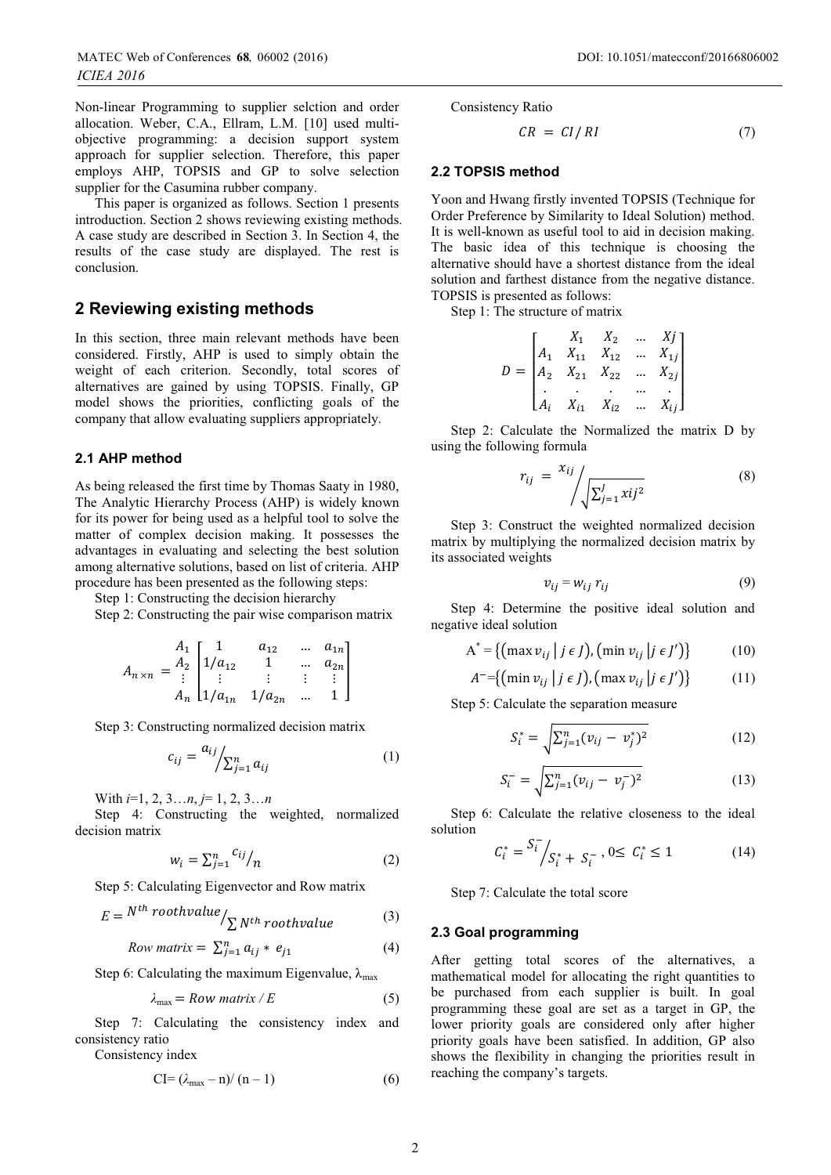Non-linear Programming to supplier selction and order allocation. Weber, C.A., Ellram, L.M. [10] used multiobjective programming: a decision support system approach for supplier selection. Therefore, this paper employs AHP, TOPSIS and GP to solve selection supplier for the Casumina rubber company.

This paper is organized as follows. Section 1 presents introduction. Section 2 shows reviewing existing methods. A case study are described in Section 3. In Section 4, the results of the case study are displayed. The rest is conclusion.

## **2 Reviewing existing methods**

In this section, three main relevant methods have been considered. Firstly, AHP is used to simply obtain the weight of each criterion. Secondly, total scores of alternatives are gained by using TOPSIS. Finally, GP model shows the priorities, conflicting goals of the company that allow evaluating suppliers appropriately.

#### **2.1 AHP method**

As being released the first time by Thomas Saaty in 1980, The Analytic Hierarchy Process (AHP) is widely known for its power for being used as a helpful tool to solve the matter of complex decision making. It possesses the advantages in evaluating and selecting the best solution among alternative solutions, based on list of criteria. AHP procedure has been presented as the following steps:

Step 1: Constructing the decision hierarchy

Step 2: Constructing the pair wise comparison matrix

$$
A_{n \times n} = \begin{pmatrix} A_1 & 1 & a_{12} & \dots & a_{1n} \\ 1/a_{12} & 1 & \dots & a_{2n} \\ \vdots & \vdots & \vdots & \vdots & \vdots \\ A_n & 1/a_{1n} & 1/a_{2n} & \dots & 1 \end{pmatrix}
$$

Step 3: Constructing normalized decision matrix

$$
c_{ij} = \frac{a_{ij}}{\sum_{j=1}^{n} a_{ij}} \tag{1}
$$

With *i*=1, 2, 3…*n*, *j*= 1, 2, 3…*n*

Step 4: Constructing the weighted, normalized decision matrix

$$
w_i = \sum_{j=1}^n \frac{c_{ij}}{n} \tag{2}
$$

Step 5: Calculating Eigenvector and Row matrix

$$
E = N^{th} \, roothvalue / \sum_{N^{th} \, roothvalue} \tag{3}
$$

Row matrix = 
$$
\sum_{j=1}^{n} a_{ij} * e_{j1}
$$
 (4)

Step 6: Calculating the maximum Eigenvalue,  $\lambda_{\text{max}}$ 

$$
\lambda_{\text{max}} = Row \text{ matrix } / E \tag{5}
$$

Step 7: Calculating the consistency index and consistency ratio

Consistency index

$$
CI = (\lambda_{max} - n) / (n - 1) \tag{6}
$$

Consistency Ratio

$$
CR = CI/RI \tag{7}
$$

#### **2.2 TOPSIS method**

Yoon and Hwang firstly invented TOPSIS (Technique for Order Preference by Similarity to Ideal Solution) method. It is well-known as useful tool to aid in decision making. The basic idea of this technique is choosing the alternative should have a shortest distance from the ideal solution and farthest distance from the negative distance. TOPSIS is presented as follows:

Step 1: The structure of matrix

$$
D = \begin{bmatrix} X_1 & X_2 & \dots & X_j \\ A_1 & X_{11} & X_{12} & \dots & X_{1j} \\ A_2 & X_{21} & X_{22} & \dots & X_{2j} \\ \vdots & \vdots & \vdots & \vdots \\ A_i & X_{i1} & X_{i2} & \dots & X_{ij} \end{bmatrix}
$$

Step 2: Calculate the Normalized the matrix D by using the following formula

$$
r_{ij} = \frac{x_{ij}}{\sqrt{\sum_{j=1}^{J} x_{ij}^2}}
$$
 (8)

Step 3: Construct the weighted normalized decision matrix by multiplying the normalized decision matrix by its associated weights

$$
v_{ij} = w_{ij} r_{ij} \tag{9}
$$

Step 4: Determine the positive ideal solution and negative ideal solution

$$
A^* = \{ (\max v_{ij} | j \in J), (\min v_{ij} | j \in J') \}
$$
 (10)

$$
A^{-}=\{( \min v_{ij} \mid j \in J), (\max v_{ij} \mid j \in J')\}
$$
 (11)

Step 5: Calculate the separation measure

$$
S_i^* = \sqrt{\sum_{j=1}^n (\nu_{ij} - \nu_j^*)^2}
$$
 (12)

$$
S_i^- = \sqrt{\sum_{j=1}^n (v_{ij} - v_j^-)^2}
$$
 (13)

Step 6: Calculate the relative closeness to the ideal solution

$$
C_i^* = \frac{S_i^-}{S_i^* + S_i^-}, 0 \le C_i^* \le 1
$$
 (14)

Step 7: Calculate the total score

#### **2.3 Goal programming**

After getting total scores of the alternatives, a mathematical model for allocating the right quantities to be purchased from each supplier is built. In goal programming these goal are set as a target in GP, the lower priority goals are considered only after higher priority goals have been satisfied. In addition, GP also shows the flexibility in changing the priorities result in reaching the company's targets.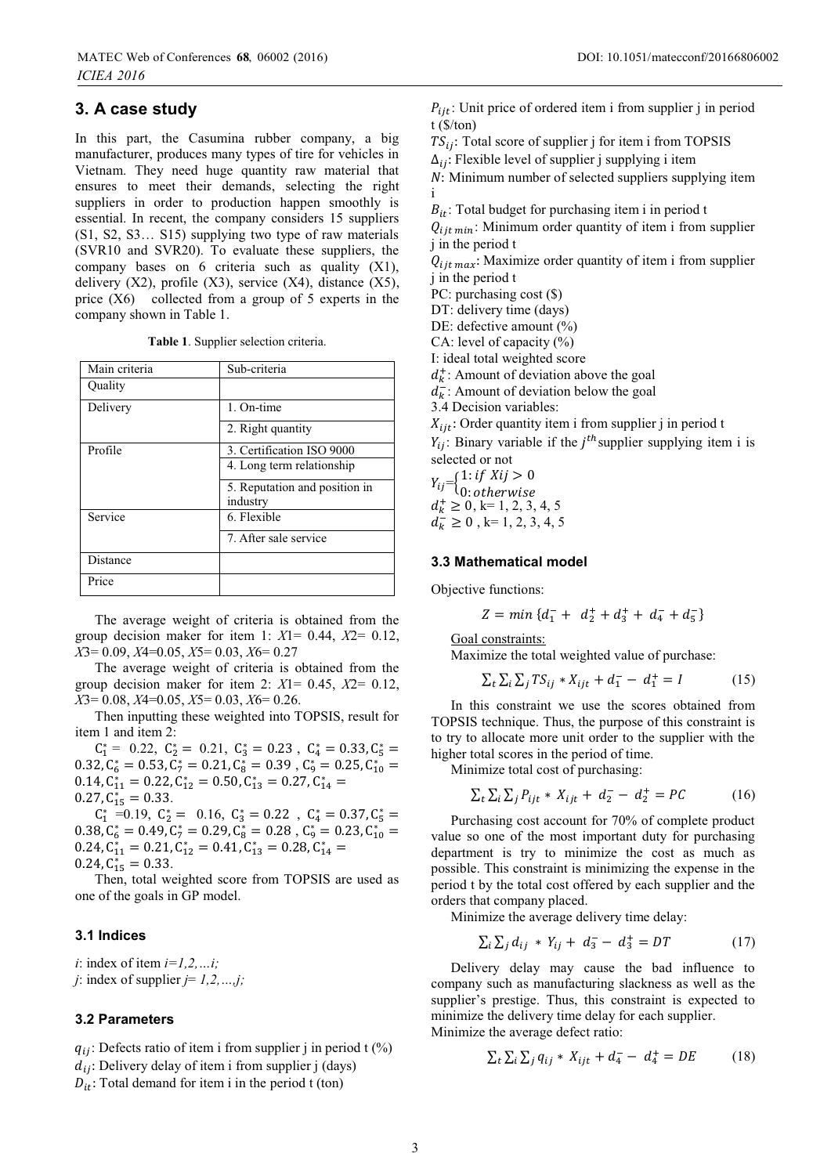# **3. A case study**

In this part, the Casumina rubber company, a big manufacturer, produces many types of tire for vehicles in Vietnam. They need huge quantity raw material that ensures to meet their demands, selecting the right suppliers in order to production happen smoothly is essential. In recent, the company considers 15 suppliers (S1, S2, S3… S15) supplying two type of raw materials (SVR10 and SVR20). To evaluate these suppliers, the company bases on 6 criteria such as quality (X1), delivery  $(X2)$ , profile  $(X3)$ , service  $(X4)$ , distance  $(X5)$ , price (X6) collected from a group of 5 experts in the company shown in Table 1.

**Table 1**. Supplier selection criteria.

| Main criteria | Sub-criteria                  |  |  |
|---------------|-------------------------------|--|--|
| Quality       |                               |  |  |
| Delivery      | 1. On-time                    |  |  |
|               | 2. Right quantity             |  |  |
| Profile       | 3. Certification ISO 9000     |  |  |
|               | 4. Long term relationship     |  |  |
|               | 5. Reputation and position in |  |  |
|               | industry                      |  |  |
| Service       | 6. Flexible                   |  |  |
|               | 7. After sale service         |  |  |
| Distance      |                               |  |  |
| Price         |                               |  |  |

The average weight of criteria is obtained from the group decision maker for item 1: *X*1= 0.44, *X*2= 0.12, *X*3= 0.09, *X*4=0.05, *X*5= 0.03, *X*6= 0.27

The average weight of criteria is obtained from the group decision maker for item 2: *X*1= 0.45, *X*2= 0.12, *X*3= 0.08, *X*4=0.05, *X*5= 0.03, *X*6= 0.26.

Then inputting these weighted into TOPSIS, result for item 1 and item 2:

 $C_1^* = 0.22, C_2^* = 0.21, C_3^* = 0.23, C_4^* = 0.33, C_5^* =$  $0.32, C_6^* = 0.53, \tilde{C}_7^* = 0.21, C_8^* = 0.39, C_9^* = 0.25, C_{10}^* =$  $0.14, C_{11}^* = 0.22, C_{12}^* = 0.50, C_{13}^* = 0.27, C_{14}^* =$  $0.27, C_{15}^{11} = 0.33.$ 

 $C_1^* = 0.19$ ,  $C_2^* = 0.16$ ,  $C_3^* = 0.22$ ,  $C_4^* = 0.37$ ,  $C_5^* =$  $(0.38, C_6^* = 0.49, C_7^* = 0.29, C_8^* = 0.28, C_9^* = 0.23, C_{10}^* =$  $0.24, C_{11}^* = 0.21, C_{12}^* = 0.41, C_{13}^* = 0.28, C_{14}^* =$  $0.24, C_{15}^{11} = 0.33.$ 

Then, total weighted score from TOPSIS are used as one of the goals in GP model.

#### **3.1 Indices**

*i*: index of item *i=1,2,…i; j*: index of supplier  $j = 1, 2, \ldots, j$ ;

#### **3.2 Parameters**

 $q_{ij}$ : Defects ratio of item i from supplier j in period t (%)  $d_{ij}$ : Delivery delay of item i from supplier j (days)  $D_{it}$ : Total demand for item i in the period t (ton)

 $P_{iit}$ : Unit price of ordered item i from supplier j in period t (\$/ton)

 $TS_{ij}$ : Total score of supplier j for item i from TOPSIS

 $\Delta_{ij}$ : Flexible level of supplier j supplying i item

 $N:$  Minimum number of selected suppliers supplying item i

 $B_{it}$ : Total budget for purchasing item i in period t

 $Q_{i}$ <sub>it min</sub>: Minimum order quantity of item i from supplier j in the period t

 $Q_{i}$ <sub>it max</sub>: Maximize order quantity of item i from supplier j in the period t

PC: purchasing cost (\$)

DT: delivery time (days)

DE: defective amount  $(\%)$ 

CA: level of capacity (%)

I: ideal total weighted score

 $d_k^+$ : Amount of deviation above the goal

 $d_{k}^{\sim}$ : Amount of deviation below the goal 3.4 Decision variables:

 $X_{iit}$ : Order quantity item i from supplier j in period t

 $Y_{ij}$ : Binary variable if the  $j<sup>th</sup>$  supplier supplying item i is selected or not

 $Y_{ij} = \begin{cases} 1: if Xij > 0 \\ 0 & i \end{cases}$  $0: otherwise$  $d_k^+ \geq 0, k=1, 2, 3, 4, 5$  $d_k^2 \ge 0$ , k= 1, 2, 3, 4, 5

#### **3.3 Mathematical model**

Objective functions:

$$
Z = min \{ d_1^- + d_2^+ + d_3^+ + d_4^- + d_5^-\}
$$

Goal constraints:

Maximize the total weighted value of purchase:

$$
\sum_{t} \sum_{i} \sum_{j} TS_{ij} * X_{ijt} + d_1^- - d_1^+ = I \tag{15}
$$

In this constraint we use the scores obtained from TOPSIS technique. Thus, the purpose of this constraint is to try to allocate more unit order to the supplier with the higher total scores in the period of time.

Minimize total cost of purchasing:

$$
\sum_{t} \sum_{i} P_{ijt} * X_{ijt} + d_2^- - d_2^+ = PC
$$
 (16)

Purchasing cost account for 70% of complete product value so one of the most important duty for purchasing department is try to minimize the cost as much as possible. This constraint is minimizing the expense in the period t by the total cost offered by each supplier and the orders that company placed.

Minimize the average delivery time delay:

$$
\sum_{i} \sum_{j} d_{ij} * Y_{ij} + d_3^- - d_3^+ = DT \tag{17}
$$

Delivery delay may cause the bad influence to company such as manufacturing slackness as well as the supplier's prestige. Thus, this constraint is expected to minimize the delivery time delay for each supplier. Minimize the average defect ratio:

$$
\sum_{t} \sum_{i} \sum_{j} q_{ij} * X_{ijt} + d_4^- - d_4^+ = DE \tag{18}
$$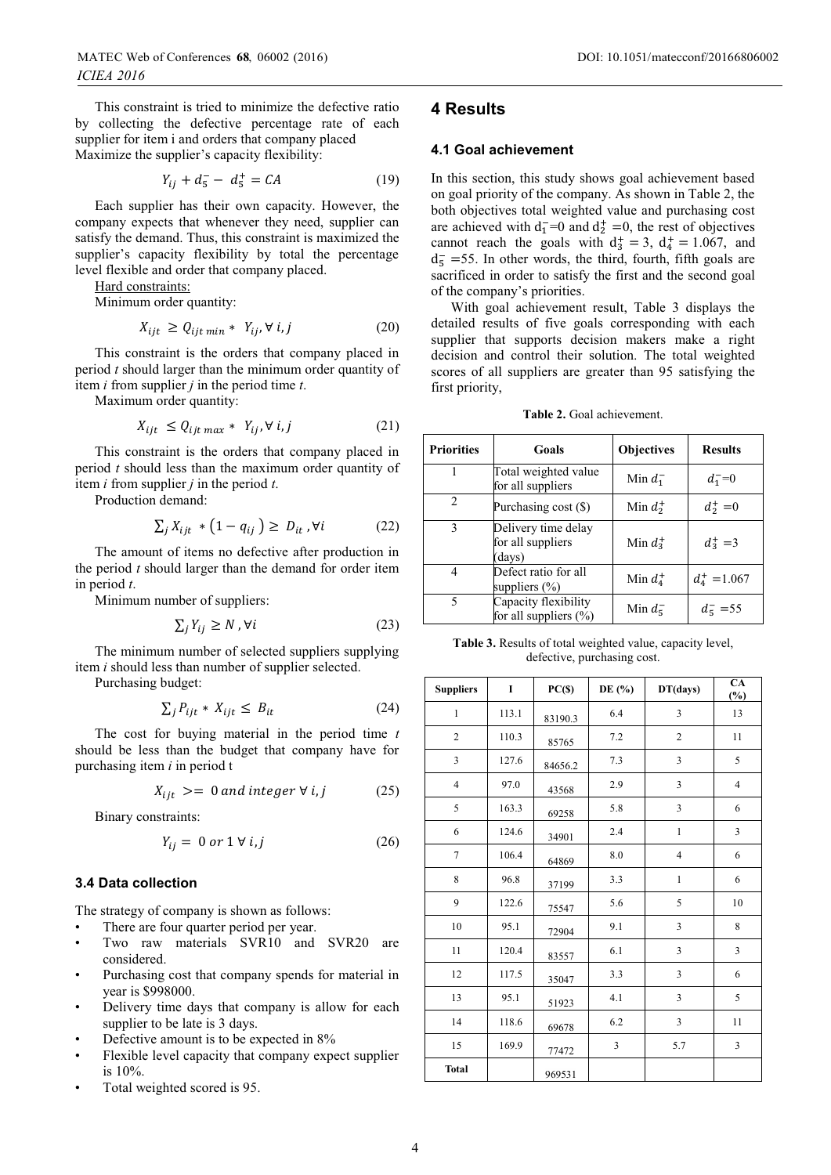This constraint is tried to minimize the defective ratio by collecting the defective percentage rate of each supplier for item i and orders that company placed Maximize the supplier's capacity flexibility:

$$
Y_{ij} + d_5^- - d_5^+ = CA \tag{19}
$$

Each supplier has their own capacity. However, the company expects that whenever they need, supplier can satisfy the demand. Thus, this constraint is maximized the supplier's capacity flexibility by total the percentage level flexible and order that company placed.

Hard constraints:

Minimum order quantity:

$$
X_{ijt} \ge Q_{ijt \min} * Y_{ij}, \forall i, j \tag{20}
$$

This constraint is the orders that company placed in period *t* should larger than the minimum order quantity of item *i* from supplier *j* in the period time *t*.

Maximum order quantity:

$$
X_{ijt} \le Q_{ijt \max} * Y_{ij}, \forall i, j \tag{21}
$$

This constraint is the orders that company placed in period *t* should less than the maximum order quantity of item *i* from supplier *j* in the period *t*.

Production demand:

$$
\sum_{i} X_{ijt} * (1 - q_{ij}) \ge D_{it}, \forall i \tag{22}
$$

The amount of items no defective after production in the period *t* should larger than the demand for order item in period *t*.

Minimum number of suppliers:

$$
\sum_{i} Y_{ij} \ge N \,, \forall i \tag{23}
$$

The minimum number of selected suppliers supplying item *i* should less than number of supplier selected.

Purchasing budget:

$$
\sum_{j} P_{ijt} * X_{ijt} \leq B_{it} \tag{24}
$$

The cost for buying material in the period time *t* should be less than the budget that company have for purchasing item *i* in period t

$$
X_{iit} \geq 0 \text{ and integer } \forall i,j \tag{25}
$$

Binary constraints:

$$
Y_{ij} = 0 \text{ or } 1 \forall i, j \tag{26}
$$

#### **3.4 Data collection**

The strategy of company is shown as follows:

- There are four quarter period per year.
- Two raw materials SVR10 and SVR20 are considered.
- Purchasing cost that company spends for material in year is \$998000.
- Delivery time days that company is allow for each supplier to be late is 3 days.
- Defective amount is to be expected in  $8\%$
- Flexible level capacity that company expect supplier is 10%.
- Total weighted scored is 95.

### **4 Results**

#### **4.1 Goal achievement**

In this section, this study shows goal achievement based on goal priority of the company. As shown in Table 2, the both objectives total weighted value and purchasing cost are achieved with  $d_1^-$ =0 and  $d_2^+$  =0, the rest of objectives cannot reach the goals with  $d_3^+ = 3$ ,  $d_4^+ = 1.067$ , and  $d_5^-$  =55. In other words, the third, fourth, fifth goals are sacrificed in order to satisfy the first and the second goal of the company's priorities.

With goal achievement result, Table 3 displays the detailed results of five goals corresponding with each supplier that supports decision makers make a right decision and control their solution. The total weighted scores of all suppliers are greater than 95 satisfying the first priority,

|  | Table 2. Goal achievement. |  |
|--|----------------------------|--|
|  |                            |  |

| <b>Priorities</b> | Goals                                              | <b>Objectives</b>        | <b>Results</b>  |  |
|-------------------|----------------------------------------------------|--------------------------|-----------------|--|
|                   | Total weighted value<br>for all suppliers          | Min $d_1^-$              | $d_1^- = 0$     |  |
| 2                 | Purchasing cost (\$)                               | Min $d_2^+$              | $d_2^+ = 0$     |  |
| 3                 | Delivery time delay<br>for all suppliers<br>(days) | Min $d_3^+$              | $d_3^+ = 3$     |  |
| 4                 | Defect ratio for all<br>suppliers $(\% )$          | Min $d_4^+$              | $d_4^+ = 1.067$ |  |
| 5                 | Capacity flexibility<br>for all suppliers $(\% )$  | Min $d_{\overline{5}}^-$ | $d_5 = 55$      |  |

**Table 3.** Results of total weighted value, capacity level, defective, purchasing cost.

| <b>Suppliers</b> | $\mathbf I$ | $PC(\$)$ | DE (%) | DT(days)       | $\overline{CA}$<br>$(\%)$ |
|------------------|-------------|----------|--------|----------------|---------------------------|
| $\mathbf{1}$     | 113.1       | 83190.3  | 6.4    | 3              | 13                        |
| $\boldsymbol{2}$ | 110.3       | 85765    | 7.2    | $\overline{c}$ | 11                        |
| 3                | 127.6       | 84656.2  | 7.3    | 3              | 5                         |
| $\overline{4}$   | 97.0        | 43568    | 2.9    | 3              | $\overline{4}$            |
| 5                | 163.3       | 69258    | 5.8    | 3              | 6                         |
| 6                | 124.6       | 34901    | 2.4    | $\mathbf{1}$   | 3                         |
| $\overline{7}$   | 106.4       | 64869    | 8.0    | $\overline{4}$ | 6                         |
| 8                | 96.8        | 37199    | 3.3    | $\mathbf{1}$   | 6                         |
| 9                | 122.6       | 75547    | 5.6    | 5              | 10                        |
| 10               | 95.1        | 72904    | 9.1    | 3              | 8                         |
| 11               | 120.4       | 83557    | 6.1    | 3              | 3                         |
| 12               | 117.5       | 35047    | 3.3    | 3              | 6                         |
| 13               | 95.1        | 51923    | 4.1    | 3              | 5                         |
| 14               | 118.6       | 69678    | 6.2    | 3              | 11                        |
| 15               | 169.9       | 77472    | 3      | 5.7            | 3                         |
| <b>Total</b>     |             | 969531   |        |                |                           |